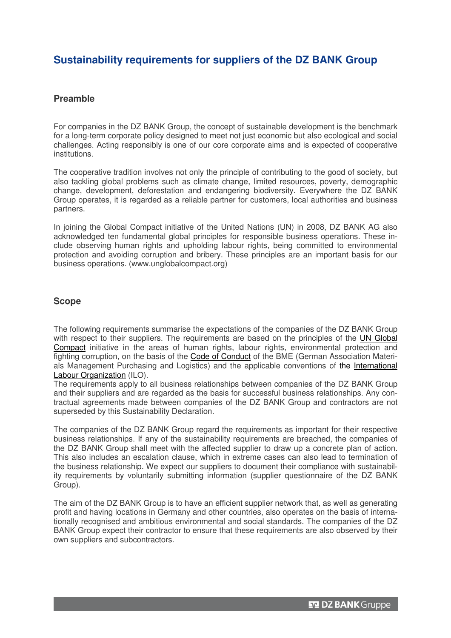# **Sustainability requirements for suppliers of the DZ BANK Group**

## **Preamble**

For companies in the DZ BANK Group, the concept of sustainable development is the benchmark for a long-term corporate policy designed to meet not just economic but also ecological and social challenges. Acting responsibly is one of our core corporate aims and is expected of cooperative institutions.

The cooperative tradition involves not only the principle of contributing to the good of society, but also tackling global problems such as climate change, limited resources, poverty, demographic change, development, deforestation and endangering biodiversity. Everywhere the DZ BANK Group operates, it is regarded as a reliable partner for customers, local authorities and business partners.

In joining the Global Compact initiative of the United Nations (UN) in 2008, DZ BANK AG also acknowledged ten fundamental global principles for responsible business operations. These include observing human rights and upholding labour rights, being committed to environmental protection and avoiding corruption and bribery. These principles are an important basis for our business operations. (www.unglobalcompact.org)

## **Scope**

The following requirements summarise the expectations of the companies of the DZ BANK Group with respect to their suppliers. The requirements are based on the principles of the UN Global Compact initiative in the areas of human rights, labour rights, environmental protection and fighting corruption, on the basis of the Code of Conduct of the BME (German Association Materials Management Purchasing and Logistics) and the applicable conventions of the International Labour Organization (ILO).

The requirements apply to all business relationships between companies of the DZ BANK Group and their suppliers and are regarded as the basis for successful business relationships. Any contractual agreements made between companies of the DZ BANK Group and contractors are not superseded by this Sustainability Declaration.

The companies of the DZ BANK Group regard the requirements as important for their respective business relationships. If any of the sustainability requirements are breached, the companies of the DZ BANK Group shall meet with the affected supplier to draw up a concrete plan of action. This also includes an escalation clause, which in extreme cases can also lead to termination of the business relationship. We expect our suppliers to document their compliance with sustainability requirements by voluntarily submitting information (supplier questionnaire of the DZ BANK Group).

The aim of the DZ BANK Group is to have an efficient supplier network that, as well as generating profit and having locations in Germany and other countries, also operates on the basis of internationally recognised and ambitious environmental and social standards. The companies of the DZ BANK Group expect their contractor to ensure that these requirements are also observed by their own suppliers and subcontractors.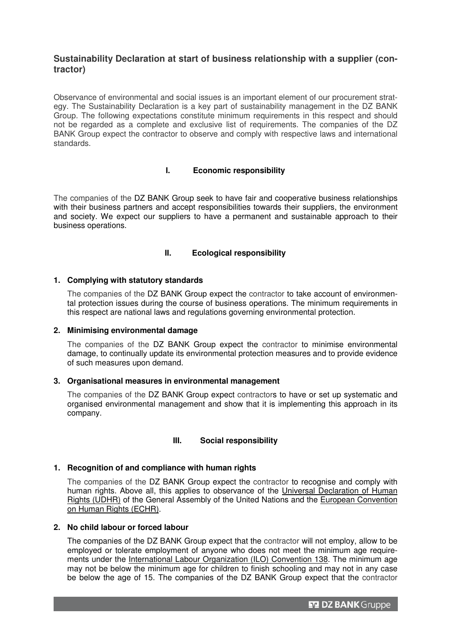## **Sustainability Declaration at start of business relationship with a supplier (contractor)**

Observance of environmental and social issues is an important element of our procurement strategy. The Sustainability Declaration is a key part of sustainability management in the DZ BANK Group. The following expectations constitute minimum requirements in this respect and should not be regarded as a complete and exclusive list of requirements. The companies of the DZ BANK Group expect the contractor to observe and comply with respective laws and international standards.

## **I. Economic responsibility**

The companies of the DZ BANK Group seek to have fair and cooperative business relationships with their business partners and accept responsibilities towards their suppliers, the environment and society. We expect our suppliers to have a permanent and sustainable approach to their business operations.

## **II. Ecological responsibility**

## **1. Complying with statutory standards**

The companies of the DZ BANK Group expect the contractor to take account of environmental protection issues during the course of business operations. The minimum requirements in this respect are national laws and regulations governing environmental protection.

#### **2. Minimising environmental damage**

The companies of the DZ BANK Group expect the contractor to minimise environmental damage, to continually update its environmental protection measures and to provide evidence of such measures upon demand.

#### **3. Organisational measures in environmental management**

The companies of the DZ BANK Group expect contractors to have or set up systematic and organised environmental management and show that it is implementing this approach in its company.

## **III. Social responsibility**

## **1. Recognition of and compliance with human rights**

The companies of the DZ BANK Group expect the contractor to recognise and comply with human rights. Above all, this applies to observance of the Universal Declaration of Human Rights (UDHR) of the General Assembly of the United Nations and the European Convention on Human Rights (ECHR).

#### **2. No child labour or forced labour**

The companies of the DZ BANK Group expect that the contractor will not employ, allow to be employed or tolerate employment of anyone who does not meet the minimum age requirements under the International Labour Organization (ILO) Convention 138. The minimum age may not be below the minimum age for children to finish schooling and may not in any case be below the age of 15. The companies of the DZ BANK Group expect that the contractor